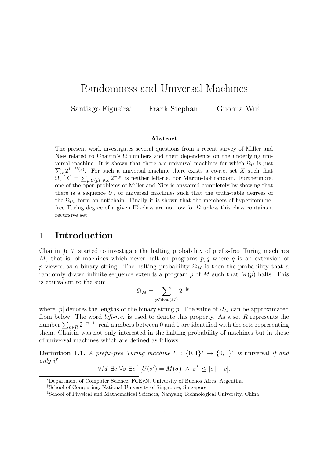# Randomness and Universal Machines

Santiago Figueira<sup>∗</sup> Frank Stephan† Guohua Wu‡

#### Abstract

The present work investigates several questions from a recent survey of Miller and Nies related to Chaitin's  $\Omega$  numbers and their dependence on the underlying universal machine. It is shown that there are universal machines for which  $\Omega_U$  is just  $\sum_{x} 2^{1-H(x)}$ . For such a universal machine there exists a co-r.e. set X such that  $\Omega_U[X] = \sum_{p:U(p)\downarrow\in X} 2^{-|p|}$  is neither left-r.e. nor Martin-Löf random. Furthermore, one of the open problems of Miller and Nies is answered completely by showing that there is a sequence  $U_n$  of universal machines such that the truth-table degrees of the  $\Omega_{U_n}$  form an antichain. Finally it is shown that the members of hyperimmunefree Turing degree of a given  $\Pi_1^0$ -class are not low for  $\Omega$  unless this class contains a recursive set.

### 1 Introduction

Chaitin [6, 7] started to investigate the halting probability of prefix-free Turing machines M, that is, of machines which never halt on programs  $p, q$  where q is an extension of p viewed as a binary string. The halting probability  $\Omega_M$  is then the probability that a randomly drawn infinite sequence extends a program p of M such that  $M(p)$  halts. This is equivalent to the sum

$$
\Omega_M = \sum_{p \in \text{dom}(M)} 2^{-|p|}
$$

where  $|p|$  denotes the lengths of the binary string p. The value of  $\Omega_M$  can be approximated from below. The word *left-r.e.* is used to denote this property. As a set  $R$  represents the number  $\sum_{n\in\mathbb{R}} 2^{-n-1}$ , real numbers between 0 and 1 are identified with the sets representing them. Chaitin was not only interested in the halting probability of machines but in those of universal machines which are defined as follows.

**Definition 1.1.** A prefix-free Turing machine  $U : \{0,1\}^* \rightarrow \{0,1\}^*$  is universal if and only if

$$
\forall M \exists c \,\forall \sigma \,\exists \sigma' \,[U(\sigma') = M(\sigma) \,\land |\sigma'| \leq |\sigma| + c].
$$

<sup>∗</sup>Department of Computer Science, FCEyN, University of Buenos Aires, Argentina

<sup>†</sup>School of Computing, National University of Singapore, Singapore

<sup>‡</sup>School of Physical and Mathematical Sciences, Nanyang Technological University, China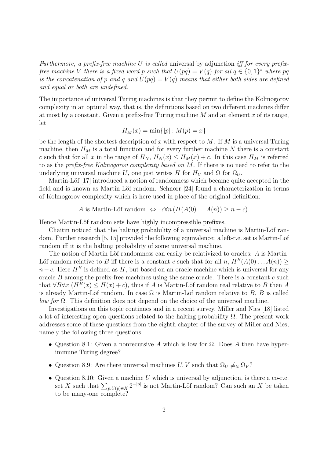Furthermore, a prefix-free machine U is called universal by adjunction iff for every prefixfree machine V there is a fixed word p such that  $U(pq) = V(q)$  for all  $q \in \{0,1\}^*$  where pq is the concatenation of p and q and  $U(pq) = V(q)$  means that either both sides are defined and equal or both are undefined.

The importance of universal Turing machines is that they permit to define the Kolmogorov complexity in an optimal way, that is, the definitions based on two different machines differ at most by a constant. Given a prefix-free Turing machine  $M$  and an element  $x$  of its range, let

$$
H_M(x) = \min\{|p| : M(p) = x\}
$$

be the length of the shortest description of x with respect to M. If M is a universal Turing machine, then  $H_M$  is a total function and for every further machine N there is a constant c such that for all x in the range of  $H_N$ ,  $H_N(x) \leq H_M(x) + c$ . In this case  $H_M$  is referred to as the prefix-free Kolmogorov complexity based on M. If there is no need to refer to the underlying universal machine U, one just writes H for  $H_U$  and  $\Omega$  for  $\Omega_U$ .

Martin-Löf [17] introduced a notion of randomness which became quite accepted in the field and is known as Martin-Löf random. Schnorr  $[24]$  found a characterization in terms of Kolmogorov complexity which is here used in place of the original definition:

A is Martin-Löf random  $\Leftrightarrow \exists c \forall n (H(A(0)...A(n)) \geq n-c).$ 

Hence Martin-Löf random sets have highly incompressible prefixes.

Chaitin noticed that the halting probability of a universal machine is Martin-Löf random. Further research  $[5, 15]$  provided the following equivalence: a left-r.e. set is Martin-Löf random iff it is the halting probability of some universal machine.

The notion of Martin-Löf randomness can easily be relativized to oracles:  $A$  is Martin-Löf random relative to B iff there is a constant c such that for all n,  $H^B(A(0)...A(n))$  $n - c$ . Here  $H^B$  is defined as H, but based on an oracle machine which is universal for any oracle  $B$  among the prefix-free machines using the same oracle. There is a constant  $c$  such that  $\forall B \forall x \ (H^B(x) \leq H(x) + c)$ , thus if A is Martin-Löf random real relative to B then A is already Martin-Löf random. In case  $\Omega$  is Martin-Löf random relative to B, B is called *low for*  $\Omega$ . This definition does not depend on the choice of the universal machine.

Investigations on this topic continues and in a recent survey, Miller and Nies [18] listed a lot of interesting open questions related to the halting probability  $\Omega$ . The present work addresses some of these questions from the eighth chapter of the survey of Miller and Nies, namely the following three questions.

- Question 8.1: Given a nonrecursive A which is low for  $\Omega$ . Does A then have hyperimmune Turing degree?
- Question 8.9: Are there universal machines  $U, V$  such that  $\Omega_U \neq_{tt} \Omega_V$ ?
- Question 8.10: Given a machine U which is universal by adjunction, is there a co-r.e. set X such that  $\sum_{p:U(p)\in X} 2^{-|p|}$  is not Martin-Löf random? Can such an X be taken to be many-one complete?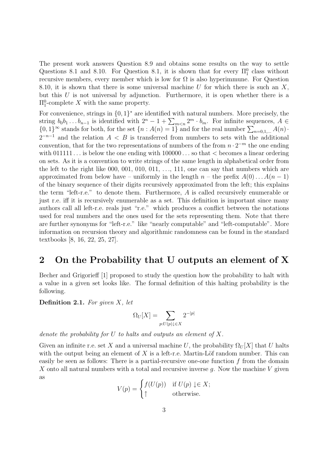The present work answers Question 8.9 and obtains some results on the way to settle Questions 8.1 and 8.10. For Question 8.1, it is shown that for every  $\Pi_1^0$  class without recursive members, every member which is low for  $\Omega$  is also hyperimmune. For Question 8.10, it is shown that there is some universal machine  $U$  for which there is such an  $X$ , but this  $U$  is not universal by adjunction. Furthermore, it is open whether there is a  $\Pi_1^0$ -complete X with the same property.

For convenience, strings in  $\{0,1\}^*$  are identified with natural numbers. More precisely, the string  $b_0b_1 \ldots b_{n-1}$  is identified with  $2^n - 1 + \sum_{m < n} 2^m \cdot b_m$ . For infinite sequences,  $A \in$  $\{0,1\}^{\infty}$  stands for both, for the set  $\{n : A(n) = 1\}$  and for the real number  $\sum_{n=0,1,...} A(n)$ .  $2^{-n-1}$  and the relation  $A \leq B$  is transferred from numbers to sets with the additional convention, that for the two representations of numbers of the from  $n \cdot 2^{-m}$  the one ending with  $011111...$  is below the one ending with  $100000...$  so that  $\lt$  becomes a linear ordering on sets. As it is a convention to write strings of the same length in alphabetical order from the left to the right like 000, 001, 010, 011,  $\dots$ , 111, one can say that numbers which are approximated from below have – uniformly in the length  $n -$  the prefix  $A(0) \dots A(n-1)$ of the binary sequence of their digits recursively approximated from the left; this explains the term "left-r.e." to denote them. Furthermore, A is called recursively enumerable or just r.e. iff it is recursively enumerable as a set. This definition is important since many authors call all left-r.e. reals just "r.e." which produces a conflict between the notations used for real numbers and the ones used for the sets representing them. Note that there are further synonyms for "left-r.e." like "nearly computable" and "left-computable". More information on recursion theory and algorithmic randomness can be found in the standard textbooks [8, 16, 22, 25, 27].

## 2 On the Probability that U outputs an element of X

Becher and Grigorieff [1] proposed to study the question how the probability to halt with a value in a given set looks like. The formal definition of this halting probability is the following.

**Definition 2.1.** For given  $X$ , let

$$
\Omega_U[X] = \sum_{p:U(p)\downarrow\in X} 2^{-|p|}
$$

denote the probability for  $U$  to halts and outputs an element of  $X$ .

Given an infinite r.e. set X and a universal machine U, the probability  $\Omega_U[X]$  that U halts with the output being an element of  $X$  is a left-r.e. Martin-Löf random number. This can easily be seen as follows: There is a partial-recursive one-one function f from the domain X onto all natural numbers with a total and recursive inverse q. Now the machine  $V$  given as

$$
V(p) = \begin{cases} f(U(p)) & \text{if } U(p) \downarrow \in X; \\ \uparrow & \text{otherwise.} \end{cases}
$$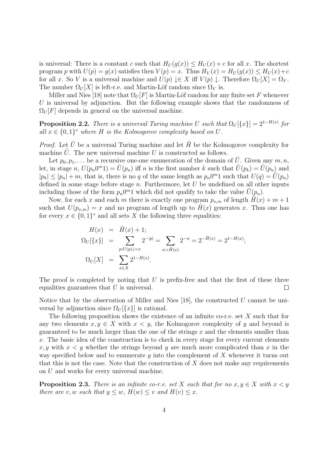is universal: There is a constant c such that  $H_U(g(x)) \leq H_U(x) + c$  for all x. The shortest program p with  $U(p) = g(x)$  satisfies then  $V(p) = x$ . Thus  $H_V(x) = H_U(g(x)) \leq H_U(x) + c$ for all x. So V is a universal machine and  $U(p) \downarrow \in X$  iff  $V(p) \downarrow$ . Therefore  $\Omega_U[X] = \Omega_V$ . The number  $\Omega_U[X]$  is left-r.e. and Martin-Löf random since  $\Omega_V$  is.

Miller and Nies [18] note that  $\Omega_U[F]$  is Martin-Löf random for any finite set F whenever U is universal by adjunction. But the following example shows that the randomness of  $\Omega_U[F]$  depends in general on the universal machine.

**Proposition 2.2.** There is a universal Turing machine U such that  $\Omega_U[\{x\}] = 2^{1-H(x)}$  for all  $x \in \{0,1\}^*$  where H is the Kolmogorov complexity based on U.

*Proof.* Let  $\tilde{U}$  be a universal Turing machine and let  $\tilde{H}$  be the Kolmogorov complexity for machine  $U$ . The new universal machine  $U$  is constructed as follows.

Let  $p_0, p_1, \ldots$  be a recursive one-one enumeration of the domain of U. Given any  $m, n$ , let, in stage n,  $U(p_n 0^m 1) = \tilde{U}(p_n)$  iff n is the first number k such that  $\tilde{U}(p_k) = \tilde{U}(p_n)$  and  $|p_k| \leq |p_n| + m$ , that is, there is no q of the same length as  $p_n 0^m 1$  such that  $U(q) = U(p_n)$ defined in some stage before stage  $n$ . Furthermore, let  $U$  be undefined on all other inputs including those of the form  $p_n 0^m 1$  which did not qualify to take the value  $\tilde{U}(p_n)$ .

Now, for each x and each m there is exactly one program  $p_{x,m}$  of length  $H(x) + m + 1$ such that  $U(p_{x,m}) = x$  and no program of length up to  $H(x)$  generates x. Thus one has for every  $x \in \{0,1\}^*$  and all sets X the following three equalities:

$$
H(x) = \tilde{H}(x) + 1;
$$
  
\n
$$
\Omega_U[\{x\}] = \sum_{p:U(p)\downarrow=x} 2^{-|p|} = \sum_{n > \tilde{H}(x)} 2^{-n} = 2^{-\tilde{H}(x)} = 2^{1-H(x)};
$$
  
\n
$$
\Omega_U[X] = \sum_{x \in X} 2^{1-H(x)}.
$$

The proof is completed by noting that  $U$  is prefix-free and that the first of these three equalities guarantees that  $U$  is universal.  $\Box$ 

Notice that by the observation of Miller and Nies  $[18]$ , the constructed U cannot be universal by adjunction since  $\Omega_U[\{x\}]$  is rational.

The following proposition shows the existence of an infinite co-r.e. set  $X$  such that for any two elements  $x, y \in X$  with  $x < y$ , the Kolmogorov complexity of y and beyond is guaranteed to be much larger than the one of the strings  $x$  and the elements smaller than x. The basic idea of the construction is to check in every stage for every current elements  $x, y$  with  $x < y$  whether the strings beyond y are much more complicated than x in the way specified below and to enumerate  $\gamma$  into the complement of  $X$  whenever it turns out that this is not the case. Note that the construction of  $X$  does not make any requirements on U and works for every universal machine.

**Proposition 2.3.** There is an infinite co-r.e. set X such that for no  $x, y \in X$  with  $x < y$ there are v, w such that  $y \leq w$ ,  $H(w) \leq v$  and  $H(v) \leq x$ .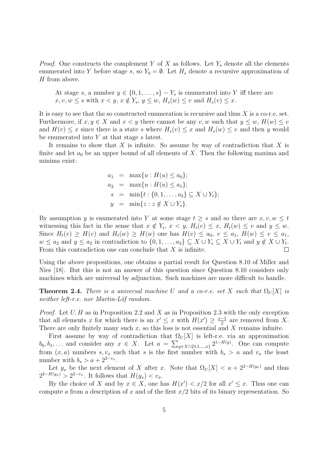*Proof.* One constructs the complement Y of X as follows. Let  $Y_s$  denote all the elements enumerated into Y before stage s, so  $Y_0 = \emptyset$ . Let  $H_s$  denote a recursive approximation of H from above.

At stage s, a number  $y \in \{0, 1, \ldots, s\} - Y_s$  is enumerated into Y iff there are  $x, v, w \leq s$  with  $x < y, x \notin Y_s, y \leq w, H_s(w) \leq v$  and  $H_s(v) \leq x$ .

It is easy to see that the so constructed enumeration is recursive and thus  $X$  is a co-r.e. set. Furthermore, if  $x, y \in X$  and  $x < y$  there cannot be any v, w such that  $y \leq w$ ,  $H(w) \leq v$ and  $H(v) \leq x$  since there is a state s where  $H_s(v) \leq x$  and  $H_s(w) \leq v$  and then y would be enumerated into  $Y$  at that stage  $s$  latest.

It remains to show that  $X$  is infinite. So assume by way of contradiction that  $X$  is finite and let  $a_0$  be an upper bound of all elements of X. Then the following maxima and minima exist:

$$
a_1 = \max\{u : H(u) \le a_0\};
$$
  
\n
$$
a_2 = \max\{u : H(u) \le a_1\};
$$
  
\n
$$
s = \min\{t : \{0, 1, ..., a_2\} \subseteq X \cup Y_t\};
$$
  
\n
$$
y = \min\{z : z \notin X \cup Y_s\}.
$$

By assumption y is enumerated into Y at some stage  $t \geq s$  and so there are  $x, v, w \leq t$ witnessing this fact in the sense that  $x \notin Y_t$ ,  $x < y$ ,  $H_t(v) \le x$ ,  $H_t(w) \le v$  and  $y \le w$ . Since  $H_t(v) \geq H(v)$  and  $H_t(w) \geq H(w)$  one has  $H(v) \leq a_0, v \leq a_1, H(w) \leq v \leq a_1$ ,  $w \le a_2$  and  $y \le a_2$  in contradiction to  $\{0, 1, \ldots, a_2\} \subseteq X \cup Y_s \subseteq X \cup Y_t$  and  $y \notin X \cup Y_t$ . From this contradiction one can conclude that  $X$  is infinite.  $\Box$ 

Using the above propositions, one obtains a partial result for Question 8.10 of Miller and Nies [18]. But this is not an answer of this question since Question 8.10 considers only machines which are universal by adjunction. Such machines are more difficult to handle.

**Theorem 2.4.** There is a universal machine U and a co-r.e. set X such that  $\Omega_U[X]$  is neither left-r.e. nor Martin-Löf random.

*Proof.* Let  $U, H$  as in Proposition 2.2 and  $X$  as in Proposition 2.3 with the only exception that all elements x for which there is an  $x' \leq x$  with  $H(x') \geq \frac{x-1}{2}$  $\frac{-1}{2}$  are removed from X. There are only finitely many such  $x$ , so this loss is not essential and  $X$  remains infinite.

First assume by way of contradiction that  $\Omega_U[X]$  is left-r.e. via an approximation  $b_0, b_1, \ldots$  and consider any  $x \in X$ . Let  $a = \sum_{y \in X \cap \{0,1,\ldots,x\}} 2^{1-H(y)}$ . One can compute from  $(x, a)$  numbers s,  $v_x$  such that s is the first number with  $b_s > a$  and  $v_x$  the least number with  $b_s > a + 2^{2-v_x}$ .

Let  $y_x$  be the next element of X after x. Note that  $\Omega_U[X] < a + 2^{2-H(y_x)}$  and thus  $2^{2-H(y_x)} > 2^{2-v_x}$ . It follows that  $H(y_x) < v_x$ .

By the choice of X and by  $x \in X$ , one has  $H(x') < x/2$  for all  $x' \leq x$ . Thus one can compute a from a description of x and of the first  $x/2$  bits of its binary representation. So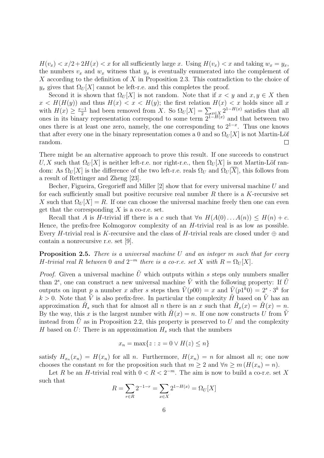$H(v_x) < x/2+2H(x) < x$  for all sufficiently large x. Using  $H(v_x) < x$  and taking  $w_x = y_x$ , the numbers  $v_x$  and  $w_x$  witness that  $y_x$  is eventually enumerated into the complement of X according to the definition of X in Proposition 2.3. This contradiction to the choice of  $y_x$  gives that  $\Omega_U[X]$  cannot be left-r.e. and this completes the proof.

Second it is shown that  $\Omega_U[X]$  is not random. Note that if  $x < y$  and  $x, y \in X$  then  $x < H(H(y))$  and thus  $H(x) < x < H(y)$ ; the first relation  $H(x) < x$  holds since all x with  $H(x) \geq \frac{x-1}{2}$  $\frac{-1}{2}$  had been removed from X. So  $\Omega_U[X] = \sum_{x \in X} 2^{1-H(x)}$  satisfies that all ones in its binary representation correspond to some term  $2^{1-H(x)}$  and that between two ones there is at least one zero, namely, the one corresponding to  $2^{1-x}$ . Thus one knows that after every one in the binary representation comes a 0 and so  $\Omega_U[X]$  is not Martin-Löf random.  $\Box$ 

There might be an alternative approach to prove this result. If one succeeds to construct U, X such that  $\Omega_U[X]$  is neither left-r.e. nor right-r.e., then  $\Omega_U[X]$  is not Martin-Löf random: As  $\Omega_U[X]$  is the difference of the two left-r.e. reals  $\Omega_U$  and  $\Omega_U[X]$ , this follows from a result of Rettinger and Zheng [23].

Becher, Figueira, Gregorieff and Miller [2] show that for every universal machine U and for each sufficiently small but positive recursive real number  $R$  there is a  $K$ -recursive set X such that  $\Omega_U[X] = R$ . If one can choose the universal machine freely then one can even get that the corresponding  $X$  is a co-r.e. set.

Recall that A is H-trivial iff there is a c such that  $\forall n \ H(A(0)...A(n)) \leq H(n) + c$ . Hence, the prefix-free Kolmogorov complexity of an H-trivial real is as low as possible. Every H-trivial real is K-recursive and the class of H-trivial reals are closed under  $\oplus$  and contain a nonrecursive r.e. set [9].

**Proposition 2.5.** There is a universal machine  $U$  and an integer  $m$  such that for every H-trivial real R between 0 and  $2^{-m}$  there is a co-r.e. set X with  $R = \Omega_U[X]$ .

*Proof.* Given a universal machine  $\tilde{U}$  which outputs within s steps only numbers smaller than  $2^s$ , one can construct a new universal machine  $\tilde{V}$  with the following property: If  $\tilde{U}$ outputs on input p a number x after s steps then  $\tilde{V}(p00) = x$  and  $\tilde{V}(p1^k0) = 2^s \cdot 3^k$  for  $k > 0$ . Note that V is also prefix-free. In particular the complexity H based on V has an approximation  $\tilde{H}_s$  such that for almost all n there is an x such that  $\tilde{H}_x(x) = \tilde{H}(x) = n$ . By the way, this x is the largest number with  $H(x) = n$ . If one now constructs U from V instead from U as in Proposition 2.2, this property is preserved to U and the complexity H based on U: There is an approximation  $H_s$  such that the numbers

$$
x_n = \max\{z : z = 0 \lor H(z) \le n\}
$$

satisfy  $H_{x_n}(x_n) = H(x_n)$  for all n. Furthermore,  $H(x_n) = n$  for almost all n; one now chooses the constant m for the proposition such that  $m \geq 2$  and  $\forall n \geq m$  ( $H(x_n) = n$ ).

Let R be an H-trivial real with  $0 < R < 2^{-m}$ . The aim is now to build a co-r.e. set X such that

$$
R = \sum_{r \in R} 2^{-1-r} = \sum_{x \in X} 2^{1-H(x)} = \Omega_U[X]
$$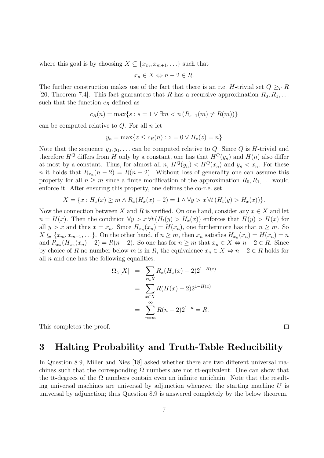where this goal is by choosing  $X \subseteq \{x_m, x_{m+1}, \ldots\}$  such that

$$
x_n \in X \Leftrightarrow n - 2 \in R.
$$

The further construction makes use of the fact that there is an r.e. H-trivial set  $Q \geq_T R$ [20, Theorem 7.4]. This fact guarantees that R has a recursive approximation  $R_0, R_1, \ldots$ such that the function  $c_R$  defined as

$$
c_R(n) = \max\{s : s = 1 \lor \exists m < n \ (R_{s-1}(m) \neq R(m))\}
$$

can be computed relative to  $Q$ . For all  $n$  let

$$
y_n = \max\{z \le c_R(n) : z = 0 \lor H_z(z) = n\}
$$

Note that the sequence  $y_0, y_1, \ldots$  can be computed relative to Q. Since Q is H-trivial and therefore  $H^Q$  differs from H only by a constant, one has that  $H^Q(y_n)$  and  $H(n)$  also differ at most by a constant. Thus, for almost all n,  $H^Q(y_n) < H^Q(x_n)$  and  $y_n < x_n$ . For these n it holds that  $R_{x_n}(n-2) = R(n-2)$ . Without loss of generality one can assume this property for all  $n \geq m$  since a finite modification of the approximation  $R_0, R_1, \ldots$  would enforce it. After ensuring this property, one defines the co-r.e. set

$$
X = \{x : H_x(x) \ge m \land R_x(H_x(x) - 2) = 1 \land \forall y > x \forall t (H_t(y) > H_x(x))\}.
$$

Now the connection between X and R is verified. On one hand, consider any  $x \in X$  and let  $n = H(x)$ . Then the condition  $\forall y > x \forall t (H_t(y) > H_x(x))$  enforces that  $H(y) > H(x)$  for all  $y > x$  and thus  $x = x_n$ . Since  $H_{x_n}(x_n) = H(x_n)$ , one furthermore has that  $n \geq m$ . So  $X \subseteq \{x_m, x_{m+1}, \ldots\}$ . On the other hand, if  $n \geq m$ , then  $x_n$  satisfies  $H_{x_n}(x_n) = H(x_n) = n$ and  $R_{x_n}(H_{x_n}(x_n)-2)=R(n-2)$ . So one has for  $n\geq m$  that  $x_n\in X \Leftrightarrow n-2\in R$ . Since by choice of R no number below m is in R, the equivalence  $x_n \in X \Leftrightarrow n-2 \in R$  holds for all  $n$  and one has the following equalities:

$$
\Omega_U[X] = \sum_{x \in X} R_x(H_x(x) - 2)2^{1 - H(x)}
$$
  
= 
$$
\sum_{x \in X} R(H(x) - 2)2^{1 - H(x)}
$$
  
= 
$$
\sum_{n=m}^{\infty} R(n-2)2^{1-n} = R.
$$

This completes the proof.

#### $\Box$

### 3 Halting Probability and Truth-Table Reducibility

In Question 8.9, Miller and Nies [18] asked whether there are two different universal machines such that the corresponding  $\Omega$  numbers are not tt-equivalent. One can show that the tt-degrees of the  $\Omega$  numbers contain even an infinite antichain. Note that the resulting universal machines are universal by adjunction whenever the starting machine  $U$  is universal by adjunction; thus Question 8.9 is answered completely by the below theorem.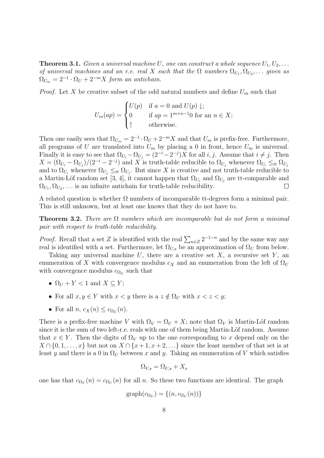**Theorem 3.1.** Given a universal machine U, one can construct a whole sequence  $U_1, U_2, \ldots$ of universal machines and an r.e. real X such that the  $\Omega$  numbers  $\Omega_{U_1}, \Omega_{U_2}, \ldots$  given as  $\Omega_{U_m} = 2^{-1} \cdot \Omega_U + 2^{-m} X$  form an antichain.

*Proof.* Let X be creative subset of the odd natural numbers and define  $U_m$  such that

$$
U_m(ap) = \begin{cases} U(p) & \text{if } a = 0 \text{ and } U(p) \downarrow; \\ 0 & \text{if } ap = 1^{m+n-1}0 \text{ for an } n \in X; \\ \uparrow & \text{otherwise.} \end{cases}
$$

Then one easily sees that  $\Omega_{U_m} = 2^{-1} \cdot \Omega_U + 2^{-m} X$  and that  $U_m$  is prefix-free. Furthermore, all programs of U are translated into  $U_m$  by placing a 0 in front, hence  $U_m$  is universal. Finally it is easy to see that  $\Omega_{U_i} - \Omega_{U_j} = (2^{-i} - 2^{-j})X$  for all *i*, *j*. Assume that  $i \neq j$ . Then  $X = (\Omega_{U_i} - \Omega_{U_j})/(2^{-i} - 2^{-j})$  and X is truth-table reducible to  $\Omega_{U_j}$  whenever  $\Omega_{U_i} \leq_{tt} \Omega_{U_j}$ and to  $\Omega_{U_i}$  whenever  $\Omega_{U_j} \leq_{tt} \Omega_{U_i}$ . But since X is creative and not truth-table reducible to a Martin-Löf random set [3, 4], it cannot happen that  $\Omega_{U_i}$  and  $\Omega_{U_j}$  are tt-comparable and  $\Omega_{U_1}, \Omega_{U_2}, \ldots$  is an infinite antichain for truth-table reducibility.  $\Box$ 

A related question is whether  $\Omega$  numbers of incomparable tt-degrees form a minimal pair. This is still unknown, but at least one knows that they do not have to.

**Theorem 3.2.** There are  $\Omega$  numbers which are incomparable but do not form a minimal pair with respect to truth-table reducibility.

*Proof.* Recall that a set Z is identified with the real  $\sum_{n\in\mathbb{Z}} 2^{-1-n}$  and by the same way any real is identified with a set. Furthermore, let  $\Omega_{U,s}$  be an approximation of  $\Omega_U$  from below.

Taking any universal machine  $U$ , there are a creative set  $X$ , a recursive set  $Y$ , an enumeration of X with convergence modulus  $c_X$  and an enumeration from the left of  $\Omega_U$ with convergence modulus  $c_{\Omega_U}$  such that

- $\Omega_U + Y < 1$  and  $X \subseteq Y$ ;
- For all  $x, y \in Y$  with  $x < y$  there is a  $z \notin \Omega_U$  with  $x < z < y$ ;
- For all  $n, c_X(n) \leq c_{\Omega_U}(n)$ .

There is a prefix-free machine V with  $\Omega_V = \Omega_U + X$ ; note that  $\Omega_V$  is Martin-Löf random since it is the sum of two left-r.e. reals with one of them being Martin-Löf random. Assume that  $x \in Y$ . Then the digits of  $\Omega_V$  up to the one corresponding to x depend only on the  $X \cap \{0, 1, \ldots, x\}$  but not on  $X \cap \{x + 1, x + 2, \ldots\}$  since the least member of that set is at least y and there is a 0 in  $\Omega_U$  between x and y. Taking an enumeration of V which satisfies

$$
\Omega_{V,s} = \Omega_{U,s} + X_s
$$

one has that  $c_{\Omega_V}(n) = c_{\Omega_U}(n)$  for all n. So these two functions are identical. The graph

$$
graph(c_{\Omega_U}) = \{(n, c_{\Omega_U}(n))\}
$$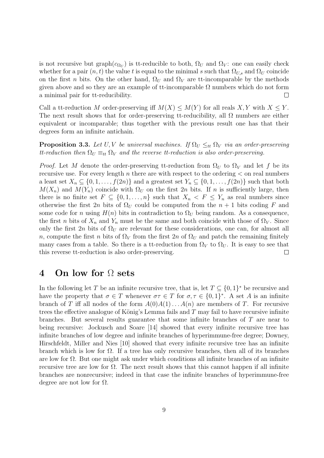is not recursive but graph $(c_{\Omega_U})$  is tt-reducible to both,  $\Omega_U$  and  $\Omega_V$ : one can easily check whether for a pair  $(n, t)$  the value t is equal to the minimal s such that  $\Omega_{U,s}$  and  $\Omega_U$  coincide on the first *n* bits. On the other hand,  $\Omega_U$  and  $\Omega_V$  are tt-incomparable by the methods given above and so they are an example of tt-incomparable  $\Omega$  numbers which do not form a minimal pair for tt-reducibility.  $\Box$ 

Call a tt-reduction M order-preserving iff  $M(X) \leq M(Y)$  for all reals X, Y with  $X \leq Y$ . The next result shows that for order-preserving tt-reducibility, all  $\Omega$  numbers are either equivalent or incomparable; thus together with the previous result one has that their degrees form an infinite antichain.

**Proposition 3.3.** Let U, V be universal machines. If  $\Omega_U \leq_{tt} \Omega_V$  via an order-preserving tt-reduction then  $\Omega_U \equiv_{tt} \Omega_V$  and the reverse tt-reduction is also order-preserving.

*Proof.* Let M denote the order-preserving tt-reduction from  $\Omega_U$  to  $\Omega_V$  and let f be its recursive use. For every length n there are with respect to the ordering  $\lt$  on real numbers a least set  $X_n \subseteq \{0, 1, \ldots, f(2n)\}\$  and a greatest set  $Y_n \subseteq \{0, 1, \ldots, f(2n)\}\$  such that both  $M(X_n)$  and  $M(Y_n)$  coincide with  $\Omega_U$  on the first 2n bits. If n is sufficiently large, then there is no finite set  $F \subseteq \{0, 1, \ldots, n\}$  such that  $X_n \leq F \leq Y_n$  as real numbers since otherwise the first 2n bits of  $\Omega_U$  could be computed from the  $n+1$  bits coding F and some code for n using  $H(n)$  bits in contradiction to  $\Omega_U$  being random. As a consequence, the first n bits of  $X_n$  and  $Y_n$  must be the same and both coincide with those of  $\Omega_V$ . Since only the first 2n bits of  $\Omega_U$  are relevant for these considerations, one can, for almost all n, compute the first n bits of  $\Omega_V$  from the first 2n of  $\Omega_U$  and patch the remaining finitely many cases from a table. So there is a tt-reduction from  $\Omega_V$  to  $\Omega_U$ . It is easy to see that this reverse tt-reduction is also order-preserving.  $\Box$ 

### 4 On low for Ω sets

In the following let T be an infinite recursive tree, that is, let  $T \subseteq \{0,1\}^*$  be recursive and have the property that  $\sigma \in T$  whenever  $\sigma \tau \in T$  for  $\sigma, \tau \in \{0,1\}^*$ . A set A is an infinite branch of T iff all nodes of the form  $A(0)A(1)...A(n)$  are members of T. For recursive trees the effective analogue of König's Lemma fails and  $T$  may fail to have recursive infinite branches. But several results guarantee that some infinite branches of T are near to being recursive: Jockusch and Soare [14] showed that every infinite recursive tree has infinite branches of low degree and infinite branches of hyperimmune-free degree; Downey, Hirschfeldt, Miller and Nies [10] showed that every infinite recursive tree has an infinite branch which is low for Ω. If a tree has only recursive branches, then all of its branches are low for Ω. But one might ask under which conditions all infinite branches of an infinite recursive tree are low for Ω. The next result shows that this cannot happen if all infinite branches are nonrecursive; indeed in that case the infinite branches of hyperimmune-free degree are not low for  $\Omega$ .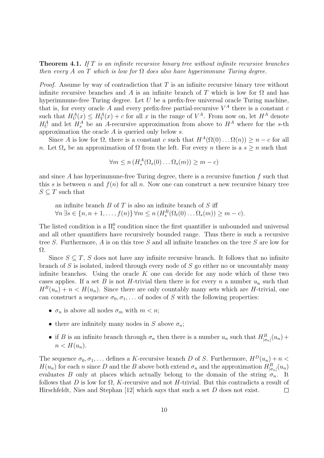**Theorem 4.1.** If  $T$  is an infinite recursive binary tree without infinite recursive branches then every A on T which is low for  $\Omega$  does also have hyperimmune Turing degree.

*Proof.* Assume by way of contradiction that  $T$  is an infinite recursive binary tree without infinite recursive branches and A is an infinite branch of T which is low for  $\Omega$  and has hyperimmune-free Turing degree. Let  $U$  be a prefix-free universal oracle Turing machine, that is, for every oracle A and every prefix-free partial-recursive  $V^A$  there is a constant c such that  $H_U^A(x) \leq H_V^A(x) + c$  for all x in the range of  $V^A$ . From now on, let  $H^A$  denote  $H_U^A$  and let  $H_s^A$  be an A-recursive approximation from above to  $H^A$  where for the s-th approximation the oracle A is queried only below s.

Since A is low for  $\Omega$ , there is a constant c such that  $H^A(\Omega(0) \dots \Omega(n)) \geq n - c$  for all n. Let  $\Omega_s$  be an approximation of  $\Omega$  from the left. For every n there is a  $s \geq n$  such that

$$
\forall m \le n \left( H_s^A(\Omega_s(0) \dots \Omega_s(m)) \ge m - c \right)
$$

and since A has hyperimmune-free Turing degree, there is a recursive function  $f$  such that this s is between n and  $f(n)$  for all n. Now one can construct a new recursive binary tree  $S \subseteq T$  such that

an infinite branch  $B$  of  $T$  is also an infinite branch of  $S$  iff  $\forall n \exists s \in \{n, n+1, \ldots, f(n)\} \forall m \le n \left(H_s^B(\Omega_t(0) \ldots \Omega_s(m)) \ge m - c\right).$ 

The listed condition is a  $\Pi_1^0$  condition since the first quantifier is unbounded and universal and all other quantifiers have recursively bounded range. Thus there is such a recursive tree S. Furthermore, A is on this tree S and all infinite branches on the tree S are low for Ω.

Since  $S \subseteq T$ , S does not have any infinite recursive branch. It follows that no infinite branch of  $S$  is isolated, indeed through every node of  $S$  go either no or uncountably many infinite branches. Using the oracle  $K$  one can decide for any node which of these two cases applies. If a set B is not H-trivial then there is for every n a number  $u_n$  such that  $H^B(u_n) + n < H(u_n)$ . Since there are only countably many sets which are H-trivial, one can construct a sequence  $\sigma_0, \sigma_1, \ldots$  of nodes of S with the following properties:

- $\sigma_n$  is above all nodes  $\sigma_m$  with  $m < n$ ;
- there are infinitely many nodes in S above  $\sigma_n$ ;
- if B is an infinite branch through  $\sigma_n$  then there is a number  $u_n$  such that  $H^B_{|\sigma_n|}(u_n)$  +  $n < H(u_n)$ .

The sequence  $\sigma_0, \sigma_1, \ldots$  defines a K-recursive branch D of S. Furthermore,  $H^D(u_n) + n <$  $H(u_n)$  for each n since D and the B above both extend  $\sigma_n$  and the approximation  $H^B_{|\sigma_n|}(u_n)$ evaluates B only at places which actually belong to the domain of the string  $\sigma_n$ . It follows that D is low for  $\Omega$ , K-recursive and not H-trivial. But this contradicts a result of Hirschfeldt, Nies and Stephan [12] which says that such a set D does not exist.  $\Box$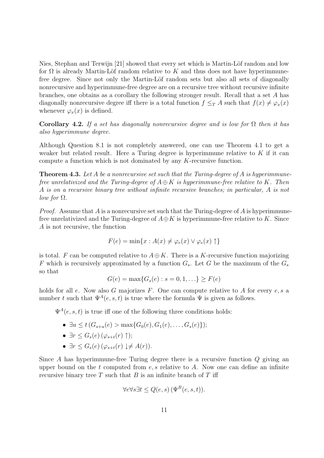Nies, Stephan and Terwijn  $[21]$  showed that every set which is Martin-Löf random and low for  $\Omega$  is already Martin-Löf random relative to K and thus does not have hyperimmunefree degree. Since not only the Martin-Löf random sets but also all sets of diagonally nonrecursive and hyperimmune-free degree are on a recursive tree without recursive infinite branches, one obtains as a corollary the following stronger result. Recall that a set A has diagonally nonrecursive degree iff there is a total function  $f \leq_T A$  such that  $f(x) \neq \varphi_x(x)$ whenever  $\varphi_x(x)$  is defined.

Corollary 4.2. If a set has diagonally nonrecursive degree and is low for  $\Omega$  then it has also hyperimmune degree.

Although Question 8.1 is not completely answered, one can use Theorem 4.1 to get a weaker but related result. Here a Turing degree is hyperimmune relative to  $K$  if it can compute a function which is not dominated by any K-recursive function.

**Theorem 4.3.** Let A be a nonrecursive set such that the Turing-degree of A is hyperimmunefree unrelativized and the Turing-degree of  $A \oplus K$  is hyperimmune-free relative to K. Then A is on a recursive binary tree without infinite recursive branches; in particular, A is not *low for*  $\Omega$ .

*Proof.* Assume that A is a nonrecursive set such that the Turing-degree of A is hyperimmunefree unrelativized and the Turing-degree of  $A \oplus K$  is hyperimmune-free relative to K. Since A is not recursive, the function

$$
F(e) = \min\{x : A(x) \neq \varphi_e(x) \lor \varphi_e(x) \uparrow\}
$$

is total. F can be computed relative to  $A \oplus K$ . There is a K-recursive function majorizing F which is recursively approximated by a function  $G_s$ . Let G be the maximum of the  $G_s$ so that

$$
G(e) = \max\{G_s(e) : s = 0, 1, \ldots\} \ge F(e)
$$

holds for all e. Now also G majorizes  $F$ . One can compute relative to A for every  $e, s$  a number t such that  $\Psi^A(e, s, t)$  is true where the formula  $\Psi$  is given as follows.

 $\Psi^A(e, s, t)$  is true iff one of the following three conditions holds:

- $\exists u \leq t \ (G_{s+u}(e) > \max\{G_0(e), G_1(e), \ldots, G_s(e)\});$
- $\exists r \leq G_s(e)$   $(\varphi_{s+t}(r) \uparrow);$
- $\exists r \leq G_s(e)$   $(\varphi_{s+t}(r) \downarrow \neq A(r)).$

Since A has hyperimmune-free Turing degree there is a recursive function  $Q$  giving an upper bound on the t computed from  $e, s$  relative to A. Now one can define an infinite recursive binary tree  $T$  such that  $B$  is an infinite branch of  $T$  iff

$$
\forall e \forall s \exists t \le Q(e, s) \left( \Psi^B(e, s, t) \right).
$$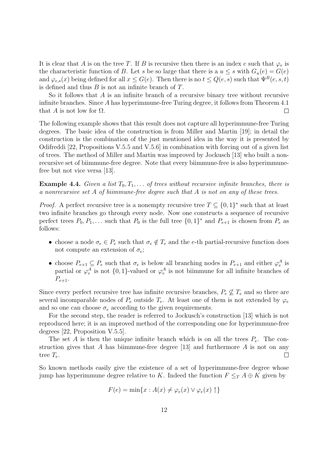It is clear that A is on the tree T. If B is recursive then there is an index e such that  $\varphi_e$  is the characteristic function of B. Let s be so large that there is a  $u \leq s$  with  $G_u(e) = G(e)$ and  $\varphi_{e,s}(x)$  being defined for all  $x \leq G(e)$ . Then there is no  $t \leq Q(e,s)$  such that  $\Psi^B(e,s,t)$ is defined and thus  $B$  is not an infinite branch of  $T$ .

So it follows that  $A$  is an infinite branch of a recursive binary tree without recursive infinite branches. Since A has hyperimmune-free Turing degree, it follows from Theorem 4.1 that A is not low for  $\Omega$ .  $\Box$ 

The following example shows that this result does not capture all hyperimmune-free Turing degrees. The basic idea of the construction is from Miller and Martin [19]; in detail the construction is the combination of the just mentioned idea in the way it is presented by Odifreddi [22, Propositions V.5.5 and V.5.6] in combination with forcing out of a given list of trees. The method of Miller and Martin was improved by Jockusch [13] who built a nonrecursive set of biimmune-free degree. Note that every biimmune-free is also hyperimmunefree but not vice versa [13].

**Example 4.4.** Given a list  $T_0, T_1, \ldots$  of trees without recursive infinite branches, there is a nonrecursive set A of biimmune-free degree such that A is not on any of these trees.

*Proof.* A perfect recursive tree is a nonempty recursive tree  $T \subseteq \{0,1\}^*$  such that at least two infinite branches go through every node. Now one constructs a sequence of recursive perfect trees  $P_0, P_1, \ldots$  such that  $P_0$  is the full tree  $\{0, 1\}^*$  and  $P_{e+1}$  is chosen from  $P_e$  as follows:

- choose a node  $\sigma_e \in P_e$  such that  $\sigma_e \notin T_e$  and the e-th partial-recursive function does not compute an extension of  $\sigma_e$ ;
- choose  $P_{e+1} \subseteq P_e$  such that  $\sigma_e$  is below all branching nodes in  $P_{e+1}$  and either  $\varphi_e^A$  is partial or  $\varphi_e^A$  is not  $\{0,1\}$ -valued or  $\varphi_e^A$  is not biimmune for all infinite branches of  $P_{e+1}.$

Since every perfect recursive tree has infinite recursive branches,  $P_e \nsubseteq T_e$  and so there are several incomparable nodes of  $P_e$  outside  $T_e$ . At least one of them is not extended by  $\varphi_e$ and so one can choose  $\sigma_e$  according to the given requirements.

For the second step, the reader is referred to Jockusch's construction [13] which is not reproduced here; it is an improved method of the corresponding one for hyperimmune-free degrees [22, Proposition V.5.5].

The set A is then the unique infinite branch which is on all the trees  $P_e$ . The construction gives that A has biimmune-free degree  $[13]$  and furthermore A is not on any tree  $T_e$ .  $\Box$ 

So known methods easily give the existence of a set of hyperimmune-free degree whose jump has hyperimmune degree relative to K. Indeed the function  $F \leq_T A \oplus K$  given by

$$
F(e) = \min\{x : A(x) \neq \varphi_e(x) \lor \varphi_e(x) \uparrow\}
$$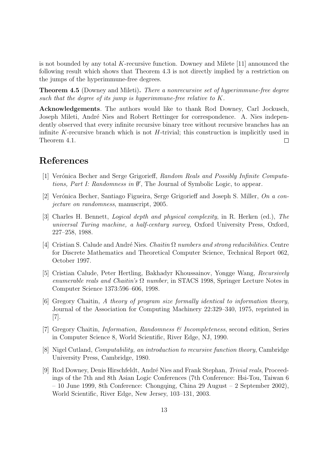is not bounded by any total K-recursive function. Downey and Milete [11] announced the following result which shows that Theorem 4.3 is not directly implied by a restriction on the jumps of the hyperimmune-free degrees.

Theorem 4.5 (Downey and Mileti). There a nonrecursive set of hyperimmune-free degree such that the degree of its jump is hyperimmune-free relative to K.

Acknowledgements. The authors would like to thank Rod Downey, Carl Jockusch, Joseph Mileti, André Nies and Robert Rettinger for correspondence. A. Nies independently observed that every infinite recursive binary tree without recursive branches has an infinite K-recursive branch which is not  $H$ -trivial; this construction is implicitly used in Theorem 4.1.  $\Box$ 

# References

- [1] Verónica Becher and Serge Grigorieff, Random Reals and Possibly Infinite Computations, Part I: Randomness in  $\emptyset'$ , The Journal of Symbolic Logic, to appear.
- [2] Verónica Becher, Santiago Figueira, Serge Grigorieff and Joseph S. Miller, On a conjecture on randomness, manuscript, 2005.
- [3] Charles H. Bennett, Logical depth and physical complexity, in R. Herken (ed.), The universal Turing machine, a half-century survey, Oxford University Press, Oxford, 227–258, 1988.
- [4] Cristian S. Calude and André Nies. *Chaitin*  $\Omega$  *numbers and strong reducibilities*. Centre for Discrete Mathematics and Theoretical Computer Science, Technical Report 062, October 1997.
- [5] Cristian Calude, Peter Hertling, Bakhadyr Khoussainov, Yongge Wang, Recursively enumerable reals and Chaitin's  $\Omega$  number, in STACS 1998, Springer Lecture Notes in Computer Science 1373:596–606, 1998.
- [6] Gregory Chaitin, A theory of program size formally identical to information theory, Journal of the Association for Computing Machinery 22:329–340, 1975, reprinted in [7].
- [7] Gregory Chaitin, Information, Randomness & Incompleteness, second edition, Series in Computer Science 8, World Scientific, River Edge, NJ, 1990.
- [8] Nigel Cutland, Computability, an introduction to recursive function theory, Cambridge University Press, Cambridge, 1980.
- [9] Rod Downey, Denis Hirschfeldt, André Nies and Frank Stephan, *Trivial reals*, Proceedings of the 7th and 8th Asian Logic Conferences (7th Conference: Hsi-Tou, Taiwan 6  $-10$  June 1999, 8th Conference: Chongqing, China 29 August  $-2$  September 2002), World Scientific, River Edge, New Jersey, 103–131, 2003.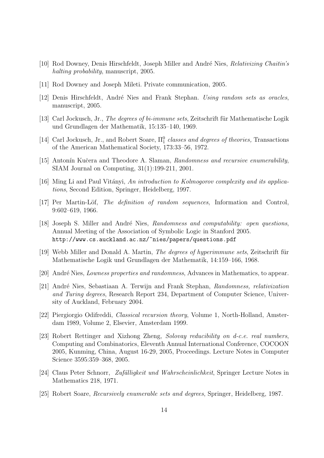- [10] Rod Downey, Denis Hirschfeldt, Joseph Miller and André Nies, Relativizing Chaitin's halting probability, manuscript, 2005.
- [11] Rod Downey and Joseph Mileti. Private communication, 2005.
- [12] Denis Hirschfeldt, André Nies and Frank Stephan. Using random sets as oracles, manuscript, 2005.
- [13] Carl Jockusch, Jr., The degrees of bi-immune sets, Zeitschrift für Mathematische Logik und Grundlagen der Mathematik, 15:135–140, 1969.
- [14] Carl Jockusch, Jr., and Robert Soare,  $\Pi_1^0$  classes and degrees of theories, Transactions of the American Mathematical Society, 173:33–56, 1972.
- [15] Antonín Kučera and Theodore A. Slaman, Randomness and recursive enumerability, SIAM Journal on Computing, 31(1):199-211, 2001.
- [16] Ming Li and Paul Vitányi, An introduction to Kolmogorov complexity and its applications, Second Edition, Springer, Heidelberg, 1997.
- [17] Per Martin-Löf, *The definition of random sequences*, Information and Control, 9:602–619, 1966.
- [18] Joseph S. Miller and André Nies, Randomness and computability: open questions, Annual Meeting of the Association of Symbolic Logic in Stanford 2005. http://www.cs.auckland.ac.nz/~nies/papers/questions.pdf
- [19] Webb Miller and Donald A. Martin, The degrees of hyperimmune sets, Zeitschrift für Mathematische Logik und Grundlagen der Mathematik, 14:159–166, 1968.
- [20] André Nies, *Lowness properties and randomness*, Advances in Mathematics, to appear.
- [21] André Nies, Sebastiaan A. Terwijn and Frank Stephan, Randomness, relativization and Turing degrees, Research Report 234, Department of Computer Science, University of Auckland, February 2004.
- [22] Piergiorgio Odifreddi, Classical recursion theory, Volume 1, North-Holland, Amsterdam 1989, Volume 2, Elsevier, Amsterdam 1999.
- [23] Robert Rettinger and Xizhong Zheng, Solovay reducibility on d-c.e. real numbers, Computing and Combinatorics, Eleventh Annual International Conference, COCOON 2005, Kunming, China, August 16-29, 2005, Proceedings. Lecture Notes in Computer Science 3595:359–368, 2005.
- [24] Claus Peter Schnorr, Zufälligkeit und Wahrscheinlichkeit, Springer Lecture Notes in Mathematics 218, 1971.
- [25] Robert Soare, Recursively enumerable sets and degrees, Springer, Heidelberg, 1987.